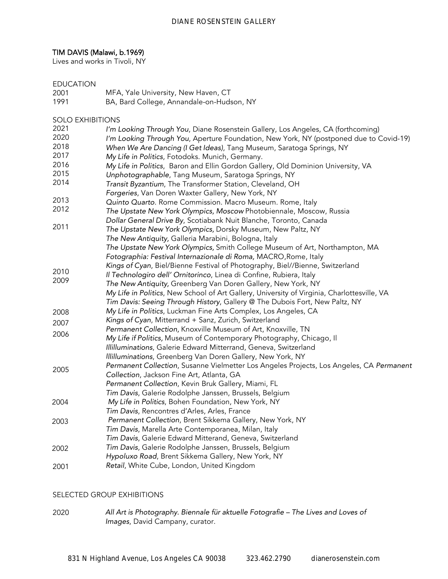# TIM DAVIS (Malawi, b.1969)

Lives and works in Tivoli, NY

# EDUCATION

- 2001 MFA, Yale University, New Haven, CT
- 1991 BA, Bard College, Annandale-on-Hudson, NY

## SOLO EXHIBITIONS

| 2021 | I'm Looking Through You, Diane Rosenstein Gallery, Los Angeles, CA (forthcoming)            |
|------|---------------------------------------------------------------------------------------------|
| 2020 | I'm Looking Through You, Aperture Foundation, New York, NY (postponed due to Covid-19)      |
| 2018 | When We Are Dancing (I Get Ideas), Tang Museum, Saratoga Springs, NY                        |
| 2017 | My Life in Politics, Fotodoks. Munich, Germany.                                             |
| 2016 | My Life in Politics, Baron and Ellin Gordon Gallery, Old Dominion University, VA            |
| 2015 | Unphotographable, Tang Museum, Saratoga Springs, NY                                         |
| 2014 | Transit Byzantium, The Transformer Station, Cleveland, OH                                   |
|      | Forgeries, Van Doren Waxter Gallery, New York, NY                                           |
| 2013 | Quinto Quarto. Rome Commission. Macro Museum. Rome, Italy                                   |
| 2012 | The Upstate New York Olympics, Moscow Photobiennale, Moscow, Russia                         |
|      | Dollar General Drive By, Scotiabank Nuit Blanche, Toronto, Canada                           |
| 2011 | The Upstate New York Olympics, Dorsky Museum, New Paltz, NY                                 |
|      | The New Antiquity, Galleria Marabini, Bologna, Italy                                        |
|      | The Upstate New York Olympics, Smith College Museum of Art, Northampton, MA                 |
|      | Fotographia: Festival Internazionale di Roma, MACRO, Rome, Italy                            |
|      | Kings of Cyan, Biel/Bienne Festival of Photography, Biel//Bienne, Switzerland               |
| 2010 | Il Technologiro dell' Ornitorinco, Linea di Confine, Rubiera, Italy                         |
| 2009 | The New Antiquity, Greenberg Van Doren Gallery, New York, NY                                |
|      | My Life in Politics, New School of Art Gallery, University of Virginia, Charlottesville, VA |
|      | Tim Davis: Seeing Through History, Gallery @ The Dubois Fort, New Paltz, NY                 |
| 2008 | My Life in Politics, Luckman Fine Arts Complex, Los Angeles, CA                             |
| 2007 | Kings of Cyan, Mitterrand + Sanz, Zurich, Switzerland                                       |
| 2006 | Permanent Collection, Knoxville Museum of Art, Knoxville, TN                                |
|      | My Life if Politics, Museum of Contemporary Photography, Chicago, Il                        |
|      | Illilluminations, Galerie Edward Mitterrand, Geneva, Switzerland                            |
|      | Illilluminations, Greenberg Van Doren Gallery, New York, NY                                 |
| 2005 | Permanent Collection, Susanne Vielmetter Los Angeles Projects, Los Angeles, CA Permanent    |
|      | Collection, Jackson Fine Art, Atlanta, GA                                                   |
|      | Permanent Collection, Kevin Bruk Gallery, Miami, FL                                         |
|      | Tim Davis, Galerie Rodolphe Janssen, Brussels, Belgium                                      |
| 2004 | My Life in Politics, Bohen Foundation, New York, NY                                         |
|      | Tim Davis, Rencontres d'Arles, Arles, France                                                |
| 2003 | Permanent Collection, Brent Sikkema Gallery, New York, NY                                   |
|      | Tim Davis, Marella Arte Contemporanea, Milan, Italy                                         |
|      | Tim Davis, Galerie Edward Mitterand, Geneva, Switzerland                                    |
| 2002 | Tim Davis, Galerie Rodolphe Janssen, Brussels, Belgium                                      |
|      | Hypoluxo Road, Brent Sikkema Gallery, New York, NY                                          |
| 2001 | Retail, White Cube, London, United Kingdom                                                  |

## SELECTED GROUP EXHIBITIONS

2020 *All Art is Photography. Biennale für aktuelle Fotografie – The Lives and Loves of Images*, David Campany, curator.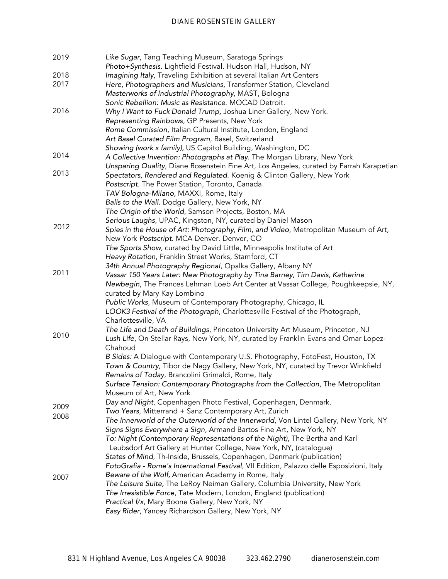| 2019         | Like Sugar, Tang Teaching Museum, Saratoga Springs<br>Photo+Synthesis. Lightfield Festival. Hudson Hall, Hudson, NY                                                    |
|--------------|------------------------------------------------------------------------------------------------------------------------------------------------------------------------|
| 2018<br>2017 | Imagining Italy, Traveling Exhibition at several Italian Art Centers<br>Here, Photographers and Musicians, Transformer Station, Cleveland                              |
|              | Masterworks of Industrial Photography, MAST, Bologna                                                                                                                   |
|              | Sonic Rebellion: Music as Resistance. MOCAD Detroit.                                                                                                                   |
| 2016         | Why I Want to Fuck Donald Trump, Joshua Liner Gallery, New York.                                                                                                       |
|              | Representing Rainbows, GP Presents, New York                                                                                                                           |
|              | Rome Commission, Italian Cultural Institute, London, England                                                                                                           |
|              | Art Basel Curated Film Program, Basel, Switzerland<br>Showing (work x family), US Capitol Building, Washington, DC                                                     |
| 2014         | A Collective Invention: Photographs at Play. The Morgan Library, New York                                                                                              |
|              | Unsparing Quality, Diane Rosenstein Fine Art, Los Angeles, curated by Farrah Karapetian                                                                                |
| 2013         | Spectators, Rendered and Regulated. Koenig & Clinton Gallery, New York                                                                                                 |
|              | Postscript. The Power Station, Toronto, Canada                                                                                                                         |
|              | TAV Bologna-Milano, MAXXI, Rome, Italy                                                                                                                                 |
|              | Balls to the Wall. Dodge Gallery, New York, NY                                                                                                                         |
|              | The Origin of the World, Samson Projects, Boston, MA                                                                                                                   |
|              | Serious Laughs, UPAC, Kingston, NY, curated by Daniel Mason                                                                                                            |
| 2012         | Spies in the House of Art: Photography, Film, and Video, Metropolitan Museum of Art,                                                                                   |
|              | New York Postscript. MCA Denver. Denver, CO                                                                                                                            |
|              | The Sports Show, curated by David Little, Minneapolis Institute of Art                                                                                                 |
|              | Heavy Rotation, Franklin Street Works, Stamford, CT                                                                                                                    |
|              | 34th Annual Photography Regional, Opalka Gallery, Albany NY                                                                                                            |
| 2011         | Vassar 150 Years Later: New Photography by Tina Barney, Tim Davis, Katherine                                                                                           |
|              | Newbegin, The Frances Lehman Loeb Art Center at Vassar College, Poughkeepsie, NY,                                                                                      |
|              | curated by Mary Kay Lombino                                                                                                                                            |
|              | Public Works, Museum of Contemporary Photography, Chicago, IL                                                                                                          |
|              | LOOK3 Festival of the Photograph, Charlottesville Festival of the Photograph,                                                                                          |
|              | Charlottesville, VA                                                                                                                                                    |
| 2010         | The Life and Death of Buildings, Princeton University Art Museum, Princeton, NJ<br>Lush Life, On Stellar Rays, New York, NY, curated by Franklin Evans and Omar Lopez- |
|              | Chahoud                                                                                                                                                                |
|              | B Sides: A Dialogue with Contemporary U.S. Photography, FotoFest, Houston, TX                                                                                          |
|              | Town & Country, Tibor de Nagy Gallery, New York, NY, curated by Trevor Winkfield<br>Remains of Today, Brancolini Grimaldi, Rome, Italy                                 |
|              | Surface Tension: Contemporary Photographs from the Collection, The Metropolitan                                                                                        |
|              | Museum of Art, New York                                                                                                                                                |
|              | Day and Night, Copenhagen Photo Festival, Copenhagen, Denmark.                                                                                                         |
| 2009         | Two Years, Mitterrand + Sanz Contemporary Art, Zurich                                                                                                                  |
| 2008         | The Innerworld of the Outerworld of the Innerworld, Von Lintel Gallery, New York, NY                                                                                   |
|              | Signs Signs Everywhere a Sign, Armand Bartos Fine Art, New York, NY                                                                                                    |
|              | To: Night (Contemporary Representations of the Night), The Bertha and Karl                                                                                             |
|              | Leubsdorf Art Gallery at Hunter College, New York, NY, (catalogue)                                                                                                     |
|              | States of Mind, Th-Inside, Brussels, Copenhagen, Denmark (publication)                                                                                                 |
|              | FotoGrafia - Rome's International Festival, VII Edition, Palazzo delle Esposizioni, Italy                                                                              |
| 2007         | Beware of the Wolf, American Academy in Rome, Italy                                                                                                                    |
|              | The Leisure Suite, The LeRoy Neiman Gallery, Columbia University, New York                                                                                             |
|              | The Irresistible Force, Tate Modern, London, England (publication)                                                                                                     |
|              | Practical f/x, Mary Boone Gallery, New York, NY                                                                                                                        |
|              | Easy Rider, Yancey Richardson Gallery, New York, NY                                                                                                                    |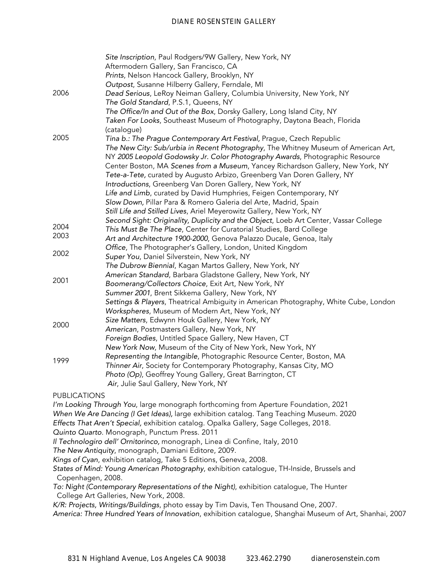|                     | Site Inscription, Paul Rodgers/9W Gallery, New York, NY                              |
|---------------------|--------------------------------------------------------------------------------------|
|                     | Aftermodern Gallery, San Francisco, CA                                               |
|                     | Prints, Nelson Hancock Gallery, Brooklyn, NY                                         |
|                     | Outpost, Susanne Hilberry Gallery, Ferndale, MI                                      |
| 2006                | Dead Serious, LeRoy Neiman Gallery, Columbia University, New York, NY                |
|                     | The Gold Standard, P.S.1, Queens, NY                                                 |
|                     | The Office/In and Out of the Box, Dorsky Gallery, Long Island City, NY               |
|                     | Taken For Looks, Southeast Museum of Photography, Daytona Beach, Florida             |
|                     | (catalogue)                                                                          |
| 2005                | Tina b.: The Prague Contemporary Art Festival, Prague, Czech Republic                |
|                     | The New City: Sub/urbia in Recent Photography, The Whitney Museum of American Art,   |
|                     | NY 2005 Leopold Godowsky Jr. Color Photography Awards, Photographic Resource         |
|                     | Center Boston, MA Scenes from a Museum, Yancey Richardson Gallery, New York, NY      |
|                     | Tete-a-Tete, curated by Augusto Arbizo, Greenberg Van Doren Gallery, NY              |
|                     | Introductions, Greenberg Van Doren Gallery, New York, NY                             |
|                     | Life and Limb, curated by David Humphries, Feigen Contemporary, NY                   |
|                     | Slow Down, Pillar Para & Romero Galeria del Arte, Madrid, Spain                      |
|                     | Still Life and Stilled Lives, Ariel Meyerowitz Gallery, New York, NY                 |
|                     | Second Sight: Originality, Duplicity and the Object, Loeb Art Center, Vassar College |
| 2004                | This Must Be The Place, Center for Curatorial Studies, Bard College                  |
| 2003                | Art and Architecture 1900-2000, Genova Palazzo Ducale, Genoa, Italy                  |
|                     | Office, The Photographer's Gallery, London, United Kingdom                           |
| 2002                | Super You, Daniel Silverstein, New York, NY                                          |
|                     | The Dubrow Biennial, Kagan Martos Gallery, New York, NY                              |
|                     | American Standard, Barbara Gladstone Gallery, New York, NY                           |
| 2001                | Boomerang/Collectors Choice, Exit Art, New York, NY                                  |
|                     | Summer 2001, Brent Sikkema Gallery, New York, NY                                     |
|                     | Settings & Players, Theatrical Ambiguity in American Photography, White Cube, London |
|                     | Workspheres, Museum of Modern Art, New York, NY                                      |
| 2000                | Size Matters, Edwynn Houk Gallery, New York, NY                                      |
|                     | American, Postmasters Gallery, New York, NY                                          |
|                     | Foreign Bodies, Untitled Space Gallery, New Haven, CT                                |
|                     | New York Now, Museum of the City of New York, New York, NY                           |
| 1999                | Representing the Intangible, Photographic Resource Center, Boston, MA                |
|                     | Thinner Air, Society for Contemporary Photography, Kansas City, MO                   |
|                     | Photo (Op), Geoffrey Young Gallery, Great Barrington, CT                             |
|                     | Air, Julie Saul Gallery, New York, NY                                                |
| <b>PUBLICATIONS</b> |                                                                                      |
|                     | I'm Looking Through You Jarge menograph forthcoming from Aperture Equipmention 2021  |

*I'm Looking Through You*, large monograph forthcoming from Aperture Foundation, 2021 *When We Are Dancing (I Get Ideas),* large exhibition catalog. Tang Teaching Museum. 2020 *Effects That Aren't Special,* exhibition catalog. Opalka Gallery, Sage Colleges, 2018.

*Quinto Quarto*. Monograph, Punctum Press. 2011

*Il Technologiro dell' Ornitorinco,* monograph, Linea di Confine, Italy, 2010

*The New Antiquity*, monograph, Damiani Editore, 2009.

*Kings of Cyan*, exhibition catalog, Take 5 Editions, Geneva, 2008.

*States of Mind: Young American Photography*, exhibition catalogue, TH-Inside, Brussels and Copenhagen, 2008.

*To: Night (Contemporary Representations of the Night)*, exhibition catalogue, The Hunter College Art Galleries, New York, 2008.

*K/R: Projects, Writings/Buildings*, photo essay by Tim Davis, Ten Thousand One, 2007.

*America: Three Hundred Years of Innovation*, exhibition catalogue, Shanghai Museum of Art, Shanhai, 2007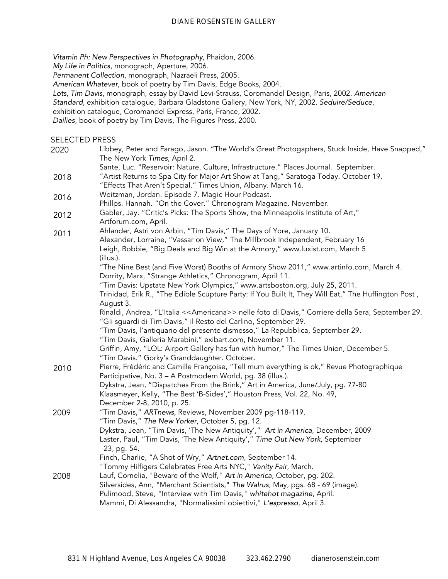*Vitamin Ph: New Perspectives in Photography*, Phaidon, 2006.

*My Life in Politics*, monograph, Aperture, 2006.

*Permanent Collection*, monograph, Nazraeli Press, 2005.

*American Whatever*, book of poetry by Tim Davis, Edge Books, 2004.

*Lots, Tim Davis*, monograph, essay by David Levi-Strauss, Coromandel Design, Paris, 2002. *American* 

*Standard*, exhibition catalogue, Barbara Gladstone Gallery, New York, NY, 2002. *Seduire/Seduce*,

exhibition catalogue, Coromandel Express, Paris, France, 2002.

*Dailies*, book of poetry by Tim Davis, The Figures Press, 2000.

SELECTED PRESS

2020 2018 2016 2012 2011 2010 2009 2008 Libbey, Peter and Farago, Jason. "The World's Great Photogaphers, Stuck Inside, Have Snapped," The New York *Times*, April 2. Sante, Luc. "Reservoir: Nature, Culture, Infrastructure." Places Journal. September. "Artist Returns to Spa City for Major Art Show at Tang," Saratoga Today. October 19. "Effects That Aren't Special." Times Union, Albany. March 16. Weitzman, Jordan. Episode 7. Magic Hour Podcast. Phillps. Hannah. "On the Cover." Chronogram Magazine. November. Gabler, Jay. "Critic's Picks: The Sports Show, the Minneapolis Institute of Art," Artforum.com, April. Ahlander, Astri von Arbin, "Tim Davis," The Days of Yore, January 10. Alexander, Lorraine, "Vassar on View," The Millbrook Independent, February 16 Leigh, Bobbie, "Big Deals and Big Win at the Armory," www.luxist.com, March 5 (illus.). "The Nine Best (and Five Worst) Booths of Armory Show 2011," www.artinfo.com, March 4. Dorrity, Marx, "Strange Athletics," Chronogram, April 11. "Tim Davis: Upstate New York Olympics," www.artsboston.org, July 25, 2011. Trinidad, Erik R., "The Edible Scupture Party: If You Built It, They Will Eat," The Huffington Post , August 3. Rinaldi, Andrea, "L'Italia <<Americana>> nelle foto di Davis," Corriere della Sera, September 29. "Gli sguardi di Tim Davis," il Resto del Carlino, September 29. "Tim Davis, l'antiquario del presente dismesso," La Repubblica, September 29. "Tim Davis, Galleria Marabini," exibart.com, November 11. Griffin, Amy, "LOL: Airport Gallery has fun with humor," The Times Union, December 5. "Tim Davis." Gorky's Granddaughter. October. Pierre, Frédéric and Camille Françoise, "Tell mum everything is ok," Revue Photographique Participative, No. 3 – A Postmodern World, pg. 38 (illus.). Dykstra, Jean, "Dispatches From the Brink," Art in America, June/July, pg. 77-80 Klaasmeyer, Kelly, "The Best 'B-Sides'," Houston Press, Vol. 22, No. 49, December 2-8, 2010, p. 25. "Tim Davis," *ARTnews,* Reviews, November 2009 pg-118-119. "Tim Davis," *The New Yorker*, October 5, pg. 12. Dykstra, Jean, "Tim Davis, 'The New Antiquity'," *Art in America*, December, 2009 Laster, Paul, "Tim Davis, 'The New Antiquity'," *Time Out New York*, September 23, pg. 54. Finch, Charlie, "A Shot of Wry," *Artnet.com*, September 14. "Tommy Hilfigers Celebrates Free Arts NYC," *Vanity Fair*, March. Lauf, Cornelia, "Beware of the Wolf," *Art in America*, October, pg. 202. Silversides, Ann, "Merchant Scientists," *The Walrus*, May, pgs. 68 - 69 (image). Pulimood, Steve, "Interview with Tim Davis," *whitehot magazine*, April. Mammi, Di Alessandra, "Normalissimi obiettivi," *L'espresso*, April 3.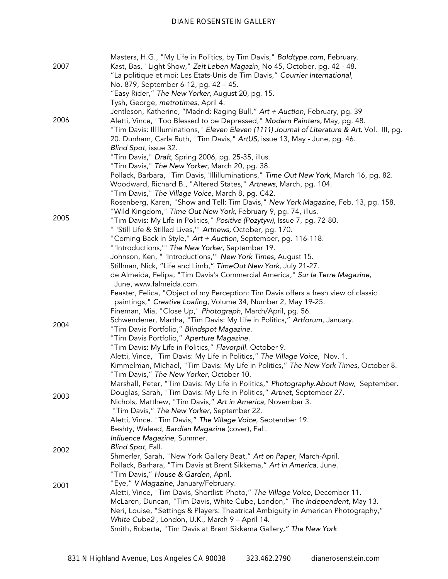| 2007 | Masters, H.G., "My Life in Politics, by Tim Davis," Boldtype.com, February.<br>Kast, Bas, "Light Show," Zeit Leben Magazin, No 45, October, pg. 42 - 48.<br>"La politique et moi: Les Etats-Unis de Tim Davis," Courrier International,                                             |
|------|-------------------------------------------------------------------------------------------------------------------------------------------------------------------------------------------------------------------------------------------------------------------------------------|
|      | No. 879, September 6-12, pg. 42 - 45.<br>"Easy Rider," The New Yorker, August 20, pg. 15.                                                                                                                                                                                           |
|      | Tysh, George, metrotimes, April 4.                                                                                                                                                                                                                                                  |
|      | Jentleson, Katherine, "Madrid: Raging Bull," Art + Auction, February, pg. 39                                                                                                                                                                                                        |
| 2006 | Aletti, Vince, "Too Blessed to be Depressed," Modern Painters, May, pg. 48.<br>"Tim Davis: Illilluminations," Eleven Eleven (1111) Journal of Literature & Art. Vol. III, pg.<br>20. Dunham, Carla Ruth, "Tim Davis," ArtUS, issue 13, May - June, pg. 46.<br>Blind Spot, issue 32. |
|      | "Tim Davis," Draft, Spring 2006, pg. 25-35, illus.                                                                                                                                                                                                                                  |
|      | "Tim Davis," The New Yorker, March 20, pg. 38.                                                                                                                                                                                                                                      |
|      | Pollack, Barbara, "Tim Davis, 'Illilluminations," Time Out New York, March 16, pg. 82.<br>Woodward, Richard B., "Altered States," Artnews, March, pg. 104.<br>"Tim Davis," The Village Voice, March 8, pg. C42.                                                                     |
|      | Rosenberg, Karen, "Show and Tell: Tim Davis," New York Magazine, Feb. 13, pg. 158.                                                                                                                                                                                                  |
|      | "Wild Kingdom," Time Out New York, February 9, pg. 74, illus.                                                                                                                                                                                                                       |
| 2005 | "Tim Davis: My Life in Politics," Positive (Pozytyw), Issue 7, pg. 72-80.                                                                                                                                                                                                           |
|      | " 'Still Life & Stilled Lives,'" Artnews, October, pg. 170.                                                                                                                                                                                                                         |
|      | "Coming Back in Style," Art + Auction, September, pg. 116-118.                                                                                                                                                                                                                      |
|      | "'Introductions,'" The New Yorker, September 19.                                                                                                                                                                                                                                    |
|      | Johnson, Ken, " 'Introductions,'" New York Times, August 15.                                                                                                                                                                                                                        |
|      | Stillman, Nick, "Life and Limb," TimeOut New York, July 21-27.                                                                                                                                                                                                                      |
|      | de Almeida, Felipa, "Tim Davis's Commercial America," Sur la Terre Magazine,<br>June, www.falmeida.com.                                                                                                                                                                             |
|      | Feaster, Felica, "Object of my Perception: Tim Davis offers a fresh view of classic<br>paintings," Creative Loafing, Volume 34, Number 2, May 19-25.                                                                                                                                |
|      | Fineman, Mia, "Close Up," Photograph, March/April, pg. 56.                                                                                                                                                                                                                          |
|      | Schwendener, Martha, "Tim Davis: My Life in Politics," Artforum, January.                                                                                                                                                                                                           |
| 2004 | "Tim Davis Portfolio," Blindspot Magazine.                                                                                                                                                                                                                                          |
|      | "Tim Davis Portfolio," Aperture Magazine.                                                                                                                                                                                                                                           |
|      | "Tim Davis: My Life in Politics," Flavorpill. October 9.                                                                                                                                                                                                                            |
|      | Aletti, Vince, "Tim Davis: My Life in Politics," The Village Voice, Nov. 1.                                                                                                                                                                                                         |
|      | Kimmelman, Michael, "Tim Davis: My Life in Politics," The New York Times, October 8.<br>"Tim Davis," The New Yorker, October 10.                                                                                                                                                    |
|      | Marshall, Peter, "Tim Davis: My Life in Politics," Photography.About Now, September.                                                                                                                                                                                                |
| 2003 | Douglas, Sarah, "Tim Davis: My Life in Politics," Artnet, September 27.<br>Nichols, Matthew, "Tim Davis," Art in America, November 3.                                                                                                                                               |
|      | "Tim Davis," The New Yorker, September 22.                                                                                                                                                                                                                                          |
|      | Aletti, Vince. "Tim Davis," The Village Voice, September 19.                                                                                                                                                                                                                        |
|      | Beshty, Walead, Bardian Magazine (cover), Fall.                                                                                                                                                                                                                                     |
|      | Influence Magazine, Summer.                                                                                                                                                                                                                                                         |
| 2002 | Blind Spot, Fall.                                                                                                                                                                                                                                                                   |
|      | Shmerler, Sarah, "New York Gallery Beat," Art on Paper, March-April.                                                                                                                                                                                                                |
|      | Pollack, Barhara, "Tim Davis at Brent Sikkema," Art in America, June.                                                                                                                                                                                                               |
|      | "Tim Davis," House & Garden, April.                                                                                                                                                                                                                                                 |
| 2001 | "Eye," V Magazine, January/February.                                                                                                                                                                                                                                                |
|      | Aletti, Vince, "Tim Davis, Shortlist: Photo," The Village Voice, December 11.<br>McLaren, Duncan, "Tim Davis, White Cube, London," The Independent, May 13.                                                                                                                         |
|      | Neri, Louise, "Settings & Players: Theatrical Ambiguity in American Photography,"                                                                                                                                                                                                   |
|      | White Cube2, London, U.K., March 9 - April 14.                                                                                                                                                                                                                                      |
|      | Smith, Roberta, "Tim Davis at Brent Sikkema Gallery," The New York                                                                                                                                                                                                                  |